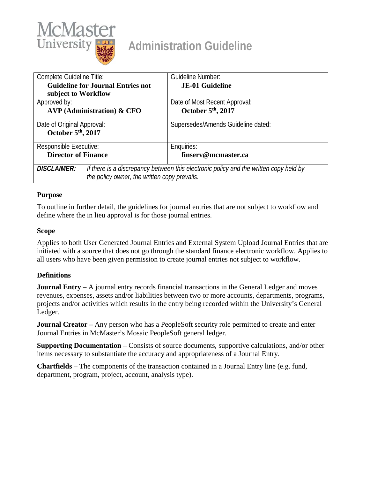

# **Administration Guideline**

| Complete Guideline Title:                                          | Guideline Number:                                                                     |
|--------------------------------------------------------------------|---------------------------------------------------------------------------------------|
| <b>Guideline for Journal Entries not</b>                           | <b>JE-01 Guideline</b>                                                                |
| subject to Workflow                                                |                                                                                       |
| Approved by:                                                       | Date of Most Recent Approval:                                                         |
| $AVP$ (Administration) & CFO                                       | October 5 <sup>th</sup> , 2017                                                        |
| Date of Original Approval:<br>October 5 <sup>th</sup> , 2017       | Supersedes/Amends Guideline dated:                                                    |
| Responsible Executive:                                             | Enquiries:                                                                            |
| <b>Director of Finance</b>                                         | finserv@mcmaster.ca                                                                   |
| <b>DISCLAIMER:</b><br>the policy owner, the written copy prevails. | If there is a discrepancy between this electronic policy and the written copy held by |

#### **Purpose**

To outline in further detail, the guidelines for journal entries that are not subject to workflow and define where the in lieu approval is for those journal entries.

#### **Scope**

Applies to both User Generated Journal Entries and External System Upload Journal Entries that are initiated with a source that does not go through the standard finance electronic workflow. Applies to all users who have been given permission to create journal entries not subject to workflow.

#### **Definitions**

**Journal Entry** – A journal entry records financial transactions in the General Ledger and moves revenues, expenses, assets and/or liabilities between two or more accounts, departments, programs, projects and/or activities which results in the entry being recorded within the University's General Ledger.

**Journal Creator** – Any person who has a PeopleSoft security role permitted to create and enter Journal Entries in McMaster's Mosaic PeopleSoft general ledger.

**Supporting Documentation** – Consists of source documents, supportive calculations, and/or other items necessary to substantiate the accuracy and appropriateness of a Journal Entry.

**Chartfields** – The components of the transaction contained in a Journal Entry line (e.g. fund, department, program, project, account, analysis type).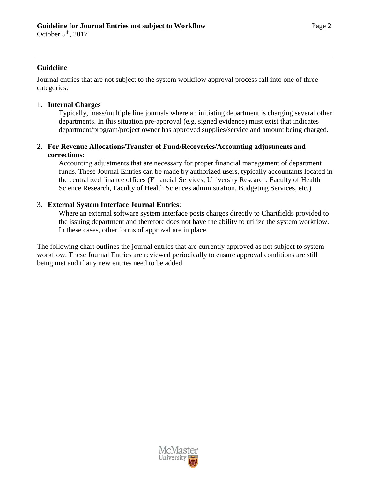October  $5<sup>th</sup>$ , 2017

#### **Guideline**

Journal entries that are not subject to the system workflow approval process fall into one of three categories:

## 1. **Internal Charges**

Typically, mass/multiple line journals where an initiating department is charging several other departments. In this situation pre-approval (e.g. signed evidence) must exist that indicates department/program/project owner has approved supplies/service and amount being charged.

## 2. **For Revenue Allocations/Transfer of Fund/Recoveries/Accounting adjustments and corrections**:

Accounting adjustments that are necessary for proper financial management of department funds. These Journal Entries can be made by authorized users, typically accountants located in the centralized finance offices (Financial Services, University Research, Faculty of Health Science Research, Faculty of Health Sciences administration, Budgeting Services, etc.)

# 3. **External System Interface Journal Entries**:

Where an external software system interface posts charges directly to Chartfields provided to the issuing department and therefore does not have the ability to utilize the system workflow. In these cases, other forms of approval are in place.

The following chart outlines the journal entries that are currently approved as not subject to system workflow. These Journal Entries are reviewed periodically to ensure approval conditions are still being met and if any new entries need to be added.

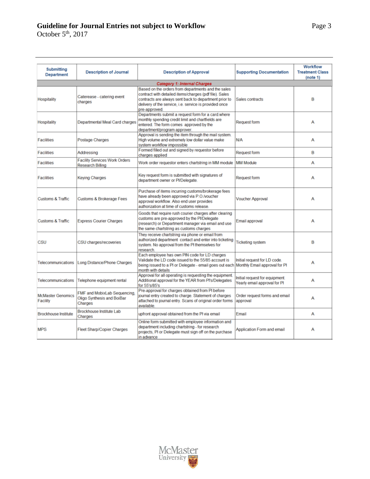# **Guideline for Journal Entries not subject to Workflow** Page

October  $5<sup>th</sup>$ , 2017

| <b>Submitting</b><br><b>Department</b> | <b>Description of Journal</b>                                         | <b>Description of Approval</b>                                                                                                                                                                                                                   | <b>Supporting Documentation</b>                                | <b>Workflow</b><br><b>Treatment Class</b><br>(note 1) |
|----------------------------------------|-----------------------------------------------------------------------|--------------------------------------------------------------------------------------------------------------------------------------------------------------------------------------------------------------------------------------------------|----------------------------------------------------------------|-------------------------------------------------------|
|                                        |                                                                       | <b>Category 1: Internal Charges</b>                                                                                                                                                                                                              |                                                                |                                                       |
| Hospitality                            | Caterease - catering event<br>charges                                 | Based on the orders from departments and the sales<br>contract with detailed items/charges (pdf file). Sales<br>contracts are always sent back to department prior to<br>delivery of the service, i.e. service is provided once<br>pre-approved. | Sales contracts                                                | B                                                     |
| Hospitality                            | Departmental Meal Card charges                                        | Departments submit a request form for a card.where<br>monthly spending credit limit and chartfields are<br>entered. The form comes approved by the<br>department/program approver.                                                               | <b>Request form</b>                                            | A                                                     |
| <b>Facilities</b>                      | Postage Charges                                                       | Approval is sending the item through the mail system.<br>High volume and extremely low dollar value make<br>system workflow impossible                                                                                                           | N/A                                                            | А                                                     |
| <b>Facilities</b>                      | Addressing                                                            | Formed filled out and signed by requestor before<br>charges applied                                                                                                                                                                              | <b>Request form</b>                                            | В                                                     |
| <b>Facilities</b>                      | <b>Facility Services Work Orders</b><br><b>Research Billing</b>       | Work order requestor enters chartstring in MM module                                                                                                                                                                                             | <b>MM Module</b>                                               | А                                                     |
| <b>Facilities</b>                      | <b>Keying Charges</b>                                                 | Key request form is submitted with signatures of<br>department owner or PI/Delegate.                                                                                                                                                             | <b>Request form</b>                                            | А                                                     |
| <b>Customs &amp; Traffic</b>           | Customs & Brokerage Fees                                              | Purchase of items incurring customs/brokerage fees<br>have already been approved via P.O./voucher<br>approval workflow. Also end user provides<br>authorization at time of customs release.                                                      | <b>Voucher Approval</b>                                        | А                                                     |
| <b>Customs &amp; Traffic</b>           | <b>Express Courier Charges</b>                                        | Goods that require rush courier charges after clearing<br>customs are pre-approved by the PI/Delegate<br>(research) or Department manager via email and use<br>the same chartstring as customs charges                                           | Email approval                                                 | А                                                     |
| CSU                                    | CSU charges/recoveries                                                | They receive chartstring via phone or email from<br>authorized department contact and enter into ticketing<br>system. No approval from the PI themselves for<br>research.                                                                        | <b>Ticketing system</b>                                        | B                                                     |
| Telecommunications                     | Long Distance/Phone Charges                                           | Each employee has own PIN code for LD charges<br>Validate the LD code issued to the 55/85 account is<br>being issued to a PI or Delegate - email goes out each Monthly Email approval for PI<br>month with details                               | Initial request for LD code.                                   | А                                                     |
| Telecommunications                     | Telephone equipment rental                                            | Approval for all operating is requesting the equipment.<br>Additional approval for the YEAR from Pl's/Delegates<br>for 55's/85's                                                                                                                 | Initial request for equipment.<br>Yearly email approval for PI | А                                                     |
| <b>McMaster Genomics</b><br>Facility   | FMF and MobixLab Sequencing,<br>Oligo Synthesis and BoiBar<br>Charges | Pre-approval for charges obtained from PI before<br>journal entry created to charge. Statement of charges<br>attached to journal entry. Scans of original order forms<br>available.                                                              | Order request forms and email<br>approval                      | А                                                     |
| <b>Brockhouse Institute</b>            | Brockhouse Institute Lab<br>Charges                                   | upfront approval obtained from the PI via email                                                                                                                                                                                                  | Email                                                          | А                                                     |
| <b>MPS</b>                             | <b>Fleet Sharp/Copier Charges</b>                                     | Online form submitted with employee information and<br>department including chartstring - for research<br>projects, PI or Delegate must sign off on the purchase<br>in advance                                                                   | Application Form and email                                     | A                                                     |

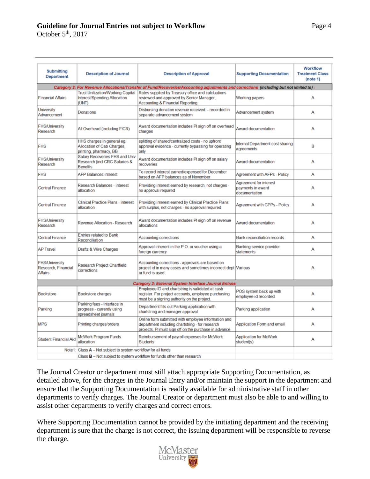# **Guideline for Journal Entries not subject to Workflow** Page 4

October  $5<sup>th</sup>$ , 2017

| <b>Submitting</b><br>Department                                | <b>Description of Journal</b>                                                      | <b>Description of Approval</b>                                                                                                                                  | <b>Supporting Documentation</b>                              | <b>Workflow</b><br><b>Treatment Class</b><br>(note 1) |
|----------------------------------------------------------------|------------------------------------------------------------------------------------|-----------------------------------------------------------------------------------------------------------------------------------------------------------------|--------------------------------------------------------------|-------------------------------------------------------|
|                                                                |                                                                                    | Category 2: For Revenue Allocations/Transfer of Fund/Recoveries/Accounting adjustments and corrections (including but not limited to)                           |                                                              |                                                       |
| <b>Financial Affairs</b>                                       | <b>Trust Unitization/Working Capital</b><br>Interest/Spending Allocation<br>(UNT)  | Rates supplied by Treasury office and calcluations<br>reviewed and approved by Senior Manager,<br><b>Accounting &amp; Financial Reporting</b>                   | Working papers                                               | A                                                     |
| University<br>Advancement                                      | Donations                                                                          | Disbursing donation revenue received - recorded in<br>separate advancement system                                                                               | Advancement system                                           | Α                                                     |
| <b>FHS/University</b><br>Research                              | All Overhead (including FICR)                                                      | Award documentation includes PI sign off on overhead<br>charges                                                                                                 | Award documentation                                          | A                                                     |
| <b>FHS</b>                                                     | HHS charges in general eg.<br>Allocation of Cab Charges,<br>printing, pharmacy, BB | splitting of shared/centralized costs - no upfront<br>approval evidence - currently bypassing for operating<br>only                                             | Internal Department cost sharing<br>agreements               | B                                                     |
| <b>FHS/University</b><br>Research                              | Salary Recoveries FHS and Univ<br>Research (incl CRC Salaries &<br><b>Benefits</b> | Award documentation includes PI sign off on salary<br>recoveries                                                                                                | Award documentation                                          | A                                                     |
| <b>FHS</b>                                                     | <b>AFP Balances interest</b>                                                       | To record interest earned/expensed for December<br>based on AFP balances as of November                                                                         | Agreement with AFPs - Policy                                 | А                                                     |
| <b>Central Finance</b>                                         | <b>Research Balances - interest</b><br>allocation                                  | Providing interest earned by research, not charges -<br>no approval required                                                                                    | Agreement for interest<br>payments in award<br>documentation | A                                                     |
| <b>Central Finance</b>                                         | <b>Clinical Practice Plans - interest</b><br>allocation                            | Providing interest earned by Clinical Practice Plans<br>with surplus, not charges - no approval required                                                        | Agreement with CPPs - Policy                                 | А                                                     |
| <b>FHS/University</b><br>Research                              | Revenue Allocation - Research                                                      | Award documentation includes PI sign off on revenue<br>allocations                                                                                              | Award documentation                                          | А                                                     |
| Central Finance                                                | <b>Entries related to Bank</b><br>Reconciliation                                   | <b>Accounting corrections</b>                                                                                                                                   | <b>Bank reconciliation records</b>                           | А                                                     |
| <b>AP Travel</b>                                               | Drafts & Wire Charges                                                              | Approval inherent in the P.O. or voucher using a<br>foreign currency                                                                                            | Banking service provider<br>statements                       | А                                                     |
| <b>FHS/University</b><br>Research, Financial<br><b>Affairs</b> | Research Project Chartfield<br>corrections                                         | Accounting corrections - approvals are based on<br>project id in many cases and sometimes incorrect dept Various<br>or fund is used                             |                                                              | А                                                     |
|                                                                |                                                                                    | Category 3: External System Interface Journal Entries                                                                                                           |                                                              |                                                       |
| <b>Bookstore</b>                                               | Bookstore charges                                                                  | Employee ID and chartstring is validated at cash<br>register. For project accounts, employee purchasing<br>must be a signing authority on the project           | POS system back up with<br>employee id recorded              | А                                                     |
| Parking                                                        | Parking fees - interface in<br>progress - currently using<br>spreadsheet journals  | Department fills out Parking application with<br>chartstring and manager approval                                                                               | Parking application                                          | А                                                     |
| <b>MPS</b>                                                     | Printing charges/orders                                                            | Online form submitted with employee information and<br>department including chartstring - for research<br>projects. PI must sign off on the purchase in advance | Application Form and email                                   | A                                                     |
| <b>Student Financial Aid</b>                                   | <b>McWork Program Funds</b><br>allocation                                          | Reimbursement of payroll expenses for McWork<br><b>Students</b>                                                                                                 | <b>Application for McWork</b><br>student(s)                  | A                                                     |
|                                                                | Note1: Class A - Not subject to system workflow for all funds                      |                                                                                                                                                                 |                                                              |                                                       |
|                                                                |                                                                                    | Class <b>B</b> - Not subject to system workflow for funds other than research                                                                                   |                                                              |                                                       |

The Journal Creator or department must still attach appropriate Supporting Documentation, as detailed above, for the charges in the Journal Entry and/or maintain the support in the department and ensure that the Supporting Documentation is readily available for administrative staff in other departments to verify charges. The Journal Creator or department must also be able to and willing to assist other departments to verify charges and correct errors.

Where Supporting Documentation cannot be provided by the initiating department and the receiving department is sure that the charge is not correct, the issuing department will be responsible to reverse the charge.